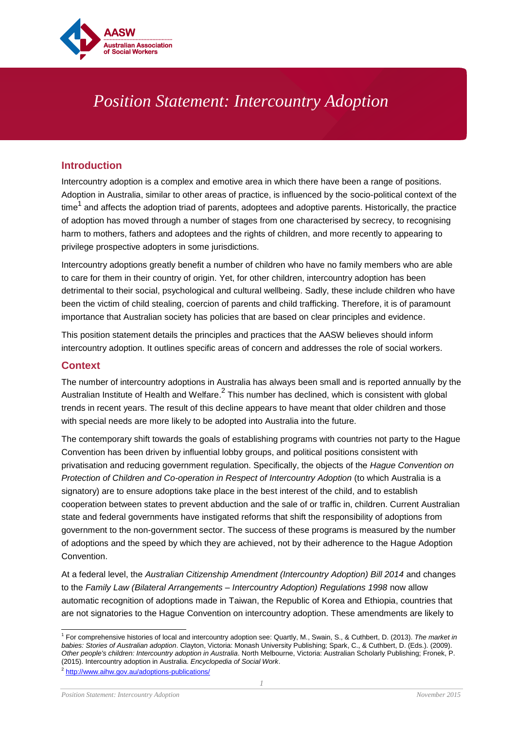

# *Position Statement: Intercountry Adoption*

## **Introduction**

Intercountry adoption is a complex and emotive area in which there have been a range of positions. Adoption in Australia, similar to other areas of practice, is influenced by the socio-political context of the time $^{\rm 1}$  and affects the adoption triad of parents, adoptees and adoptive parents. Historically, the practice of adoption has moved through a number of stages from one characterised by secrecy, to recognising harm to mothers, fathers and adoptees and the rights of children, and more recently to appearing to privilege prospective adopters in some jurisdictions.

Intercountry adoptions greatly benefit a number of children who have no family members who are able to care for them in their country of origin. Yet, for other children, intercountry adoption has been detrimental to their social, psychological and cultural wellbeing. Sadly, these include children who have been the victim of child stealing, coercion of parents and child trafficking. Therefore, it is of paramount importance that Australian society has policies that are based on clear principles and evidence.

This position statement details the principles and practices that the AASW believes should inform intercountry adoption. It outlines specific areas of concern and addresses the role of social workers.

#### **Context**

The number of intercountry adoptions in Australia has always been small and is reported annually by the Australian Institute of Health and Welfare.<sup>2</sup> This number has declined, which is consistent with global trends in recent years. The result of this decline appears to have meant that older children and those with special needs are more likely to be adopted into Australia into the future.

The contemporary shift towards the goals of establishing programs with countries not party to the Hague Convention has been driven by influential lobby groups, and political positions consistent with privatisation and reducing government regulation. Specifically, the objects of the *Hague Convention on Protection of Children and Co-operation in Respect of Intercountry Adoption* (to which Australia is a signatory) are to ensure adoptions take place in the best interest of the child, and to establish cooperation between states to prevent abduction and the sale of or traffic in, children. Current Australian state and federal governments have instigated reforms that shift the responsibility of adoptions from government to the non-government sector. The success of these programs is measured by the number of adoptions and the speed by which they are achieved, not by their adherence to the Hague Adoption Convention.

At a federal level, the *Australian Citizenship Amendment (Intercountry Adoption) Bill 2014* and changes to the *Family Law (Bilateral Arrangements – Intercountry Adoption) Regulations 1998* now allow automatic recognition of adoptions made in Taiwan, the Republic of Korea and Ethiopia, countries that are not signatories to the Hague Convention on intercountry adoption. These amendments are likely to

 1 For comprehensive histories of local and intercountry adoption see: Quartly, M., Swain, S., & Cuthbert, D. (2013). *The market in babies: Stories of Australian adoption*. Clayton, Victoria: Monash University Publishing; Spark, C., & Cuthbert, D. (Eds.). (2009). *Other people's children: Intercountry adoption in Australia*. North Melbourne, Victoria: Australian Scholarly Publishing; Fronek, P. (2015). Intercountry adoption in Australia. *Encyclopedia of Social Work*.

<sup>&</sup>lt;sup>2</sup> <http://www.aihw.gov.au/adoptions-publications/>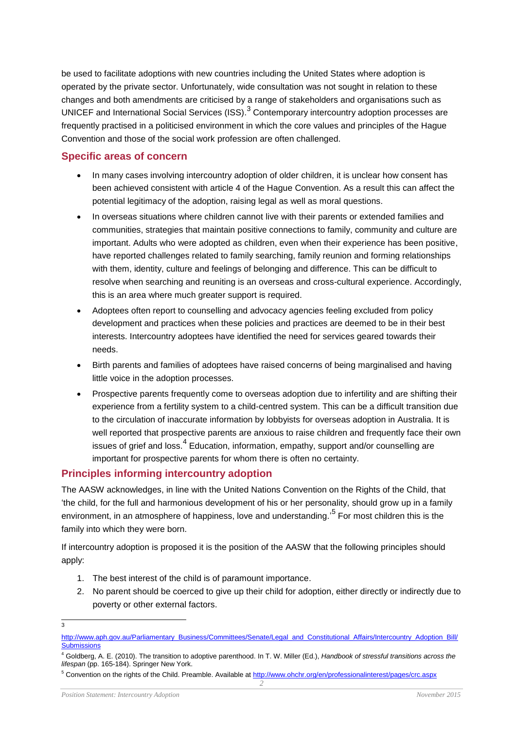be used to facilitate adoptions with new countries including the United States where adoption is operated by the private sector. Unfortunately, wide consultation was not sought in relation to these changes and both amendments are criticised by a range of stakeholders and organisations such as UNICEF and International Social Services (ISS).<sup>3</sup> Contemporary intercountry adoption processes are frequently practised in a politicised environment in which the core values and principles of the Hague Convention and those of the social work profession are often challenged.

## **Specific areas of concern**

- In many cases involving intercountry adoption of older children, it is unclear how consent has been achieved consistent with article 4 of the Hague Convention. As a result this can affect the potential legitimacy of the adoption, raising legal as well as moral questions.
- In overseas situations where children cannot live with their parents or extended families and communities, strategies that maintain positive connections to family, community and culture are important. Adults who were adopted as children, even when their experience has been positive, have reported challenges related to family searching, family reunion and forming relationships with them, identity, culture and feelings of belonging and difference. This can be difficult to resolve when searching and reuniting is an overseas and cross-cultural experience. Accordingly, this is an area where much greater support is required.
- Adoptees often report to counselling and advocacy agencies feeling excluded from policy development and practices when these policies and practices are deemed to be in their best interests. Intercountry adoptees have identified the need for services geared towards their needs.
- Birth parents and families of adoptees have raised concerns of being marginalised and having little voice in the adoption processes.
- Prospective parents frequently come to overseas adoption due to infertility and are shifting their experience from a fertility system to a child-centred system. This can be a difficult transition due to the circulation of inaccurate information by lobbyists for overseas adoption in Australia. It is well reported that prospective parents are anxious to raise children and frequently face their own issues of grief and loss.<sup>4</sup> Education, information, empathy, support and/or counselling are important for prospective parents for whom there is often no certainty.

## **Principles informing intercountry adoption**

The AASW acknowledges, in line with the United Nations Convention on the Rights of the Child, that 'the child, for the full and harmonious development of his or her personality, should grow up in a family environment, in an atmosphere of happiness, love and understanding.'<sup>5</sup> For most children this is the family into which they were born.

If intercountry adoption is proposed it is the position of the AASW that the following principles should apply:

- 1. The best interest of the child is of paramount importance.
- 2. No parent should be coerced to give up their child for adoption, either directly or indirectly due to poverty or other external factors.

<sup>-&</sup>lt;br>3

[http://www.aph.gov.au/Parliamentary\\_Business/Committees/Senate/Legal\\_and\\_Constitutional\\_Affairs/Intercountry\\_Adoption\\_Bill/](http://www.aph.gov.au/Parliamentary_Business/Committees/Senate/Legal_and_Constitutional_Affairs/Intercountry_Adoption_Bill/Submissions) **[Submissions](http://www.aph.gov.au/Parliamentary_Business/Committees/Senate/Legal_and_Constitutional_Affairs/Intercountry_Adoption_Bill/Submissions)** 

<sup>4</sup> Goldberg, A. E. (2010). The transition to adoptive parenthood. In T. W. Miller (Ed.), *Handbook of stressful transitions across the lifespan* (pp. 165-184). Springer New York.

<sup>&</sup>lt;sup>5</sup> Convention on the rights of the Child. Preamble. Available at<http://www.ohchr.org/en/professionalinterest/pages/crc.aspx>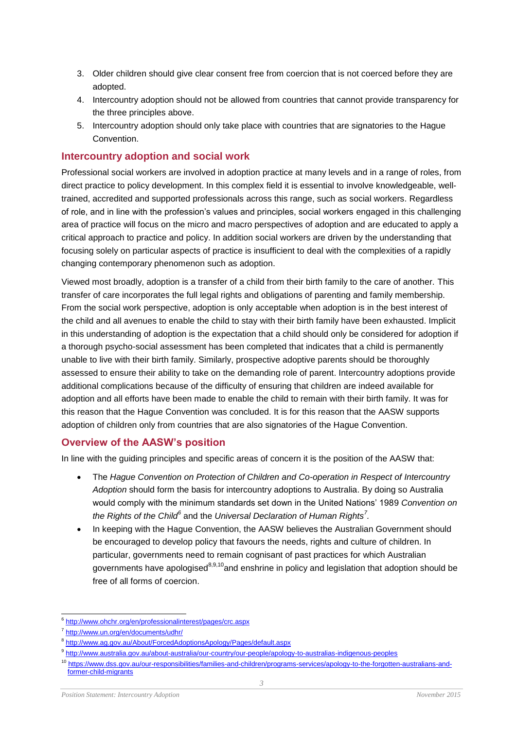- 3. Older children should give clear consent free from coercion that is not coerced before they are adopted.
- 4. Intercountry adoption should not be allowed from countries that cannot provide transparency for the three principles above.
- 5. Intercountry adoption should only take place with countries that are signatories to the Hague Convention.

#### **Intercountry adoption and social work**

Professional social workers are involved in adoption practice at many levels and in a range of roles, from direct practice to policy development. In this complex field it is essential to involve knowledgeable, welltrained, accredited and supported professionals across this range, such as social workers. Regardless of role, and in line with the profession's values and principles, social workers engaged in this challenging area of practice will focus on the micro and macro perspectives of adoption and are educated to apply a critical approach to practice and policy. In addition social workers are driven by the understanding that focusing solely on particular aspects of practice is insufficient to deal with the complexities of a rapidly changing contemporary phenomenon such as adoption.

Viewed most broadly, adoption is a transfer of a child from their birth family to the care of another. This transfer of care incorporates the full legal rights and obligations of parenting and family membership. From the social work perspective, adoption is only acceptable when adoption is in the best interest of the child and all avenues to enable the child to stay with their birth family have been exhausted. Implicit in this understanding of adoption is the expectation that a child should only be considered for adoption if a thorough psycho-social assessment has been completed that indicates that a child is permanently unable to live with their birth family. Similarly, prospective adoptive parents should be thoroughly assessed to ensure their ability to take on the demanding role of parent. Intercountry adoptions provide additional complications because of the difficulty of ensuring that children are indeed available for adoption and all efforts have been made to enable the child to remain with their birth family. It was for this reason that the Hague Convention was concluded. It is for this reason that the AASW supports adoption of children only from countries that are also signatories of the Hague Convention.

#### **Overview of the AASW's position**

In line with the guiding principles and specific areas of concern it is the position of the AASW that:

- The *Hague Convention on Protection of Children and Co-operation in Respect of Intercountry Adoption* should form the basis for intercountry adoptions to Australia. By doing so Australia would comply with the minimum standards set down in the United Nations' 1989 *Convention on the Rights of the Child<sup>6</sup>* and the *Universal Declaration of Human Rights<sup>7</sup> .*
- In keeping with the Hague Convention, the AASW believes the Australian Government should be encouraged to develop policy that favours the needs, rights and culture of children. In particular, governments need to remain cognisant of past practices for which Australian governments have apologised<sup>8,9,10</sup>and enshrine in policy and legislation that adoption should be free of all forms of coercion.

<sup>&</sup>lt;sup>6</sup> <http://www.ohchr.org/en/professionalinterest/pages/crc.aspx>

<sup>7</sup> <http://www.un.org/en/documents/udhr/>

<sup>8</sup> <http://www.ag.gov.au/About/ForcedAdoptionsApology/Pages/default.aspx>

<sup>&</sup>lt;sup>9</sup> <http://www.australia.gov.au/about-australia/our-country/our-people/apology-to-australias-indigenous-peoples>

<sup>10</sup> [https://www.dss.gov.au/our-responsibilities/families-and-children/programs-services/apology-to-the-forgotten-australians-and](https://www.dss.gov.au/our-responsibilities/families-and-children/programs-services/apology-to-the-forgotten-australians-and-former-child-migrants)[former-child-migrants](https://www.dss.gov.au/our-responsibilities/families-and-children/programs-services/apology-to-the-forgotten-australians-and-former-child-migrants)